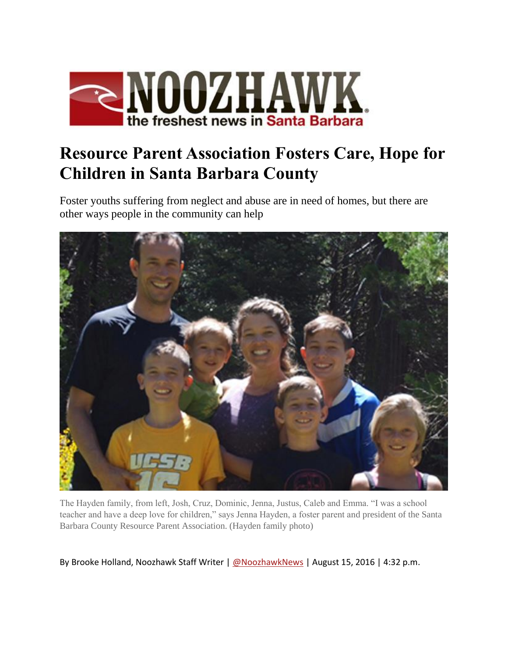

## **Resource Parent Association Fosters Care, Hope for Children in Santa Barbara County**

Foster youths suffering from neglect and abuse are in need of homes, but there are other ways people in the community can help



The Hayden family, from left, Josh, Cruz, Dominic, Jenna, Justus, Caleb and Emma. "I was a school teacher and have a deep love for children," says Jenna Hayden, a foster parent and president of the Santa Barbara County Resource Parent Association. (Hayden family photo)

By Brooke Holland, Noozhawk Staff Writer | [@NoozhawkNews](http://twitter.com/noozhawknews) | August 15, 2016 | 4:32 p.m.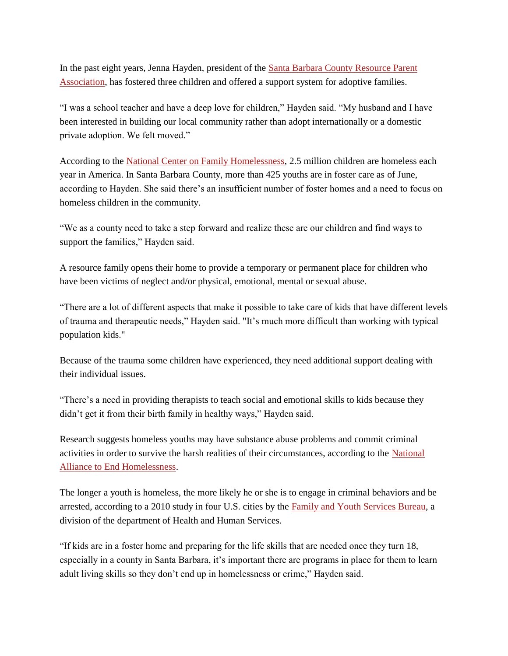In the past eight years, Jenna Hayden, president of the [Santa Barbara County](https://www.volunteermatch.org/search/org81230.jsp) Resource Parent [Association,](https://www.volunteermatch.org/search/org81230.jsp) has fostered three children and offered a support system for adoptive families.

"I was a school teacher and have a deep love for children," Hayden said. "My husband and I have been interested in building our local community rather than adopt internationally or a domestic private adoption. We felt moved."

According to the [National Center on Family Homelessness,](http://www.air.org/center/national-center-family-homelessness) 2.5 million children are homeless each year in America. In Santa Barbara County, more than 425 youths are in foster care as of June, according to Hayden. She said there's an insufficient number of foster homes and a need to focus on homeless children in the community.

"We as a county need to take a step forward and realize these are our children and find ways to support the families," Hayden said.

A resource family opens their home to provide a temporary or permanent place for children who have been victims of neglect and/or physical, emotional, mental or sexual abuse.

"There are a lot of different aspects that make it possible to take care of kids that have different levels of trauma and therapeutic needs," Hayden said. "It's much more difficult than working with typical population kids."

Because of the trauma some children have experienced, they need additional support dealing with their individual issues.

"There's a need in providing therapists to teach social and emotional skills to kids because they didn't get it from their birth family in healthy ways," Hayden said.

Research suggests homeless youths may have substance abuse problems and commit criminal activities in order to survive the harsh realities of their circumstances, according to the [National](http://www.endhomelessness.org/blog/entry/homeless-youth-and-crime-what-does-the-research-say#.V6GQwmX5yt8)  [Alliance to End Homelessness.](http://www.endhomelessness.org/blog/entry/homeless-youth-and-crime-what-does-the-research-say#.V6GQwmX5yt8)

The longer a youth is homeless, the more likely he or she is to engage in criminal behaviors and be arrested, according to a 2010 study in four U.S. cities by the [Family and Youth Services Bureau,](http://www.endhomelessness.org/blog/entry/homeless-youth-and-crime-what-does-the-research-say#.V6GRFWX5yt8) a division of the department of Health and Human Services.

"If kids are in a foster home and preparing for the life skills that are needed once they turn 18, especially in a county in Santa Barbara, it's important there are programs in place for them to learn adult living skills so they don't end up in homelessness or crime," Hayden said.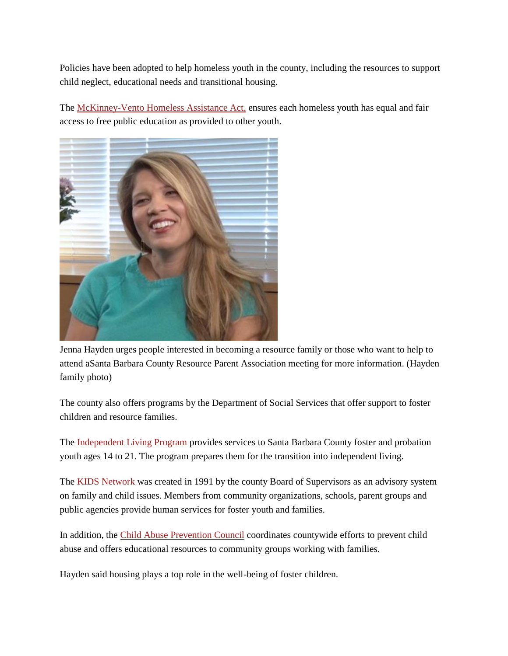Policies have been adopted to help homeless youth in the county, including the resources to support child neglect, educational needs and transitional housing.

The [McKinney-Vento Homeless](http://www2.ed.gov/policy/elsec/leg/esea02/pg116.html) Assistance Act, ensures each homeless youth has equal and fair access to free public education as provided to other youth.



Jenna Hayden urges people interested in becoming a resource family or those who want to help to attend aSanta Barbara County Resource Parent Association meeting for more information. (Hayden family photo)

The county also offers programs by the Department of Social Services that offer support to foster children and resource families.

The [Independent Living Program](https://www.countyofsb.org/ilp/schedules.asp) provides services to Santa Barbara County foster and probation youth ages 14 to 21. The program prepares them for the transition into independent living.

The [KIDS Network](http://www.countyofsb.org/kidsnet/default.htm) was created in 1991 by the county Board of Supervisors as an advisory system on family and child issues. Members from community organizations, schools, parent groups and public agencies provide human services for foster youth and families.

In addition, the [Child Abuse Prevention Council](http://www.preventchildabusesb.org/) coordinates countywide efforts to prevent child abuse and offers educational resources to community groups working with families.

Hayden said housing plays a top role in the well-being of foster children.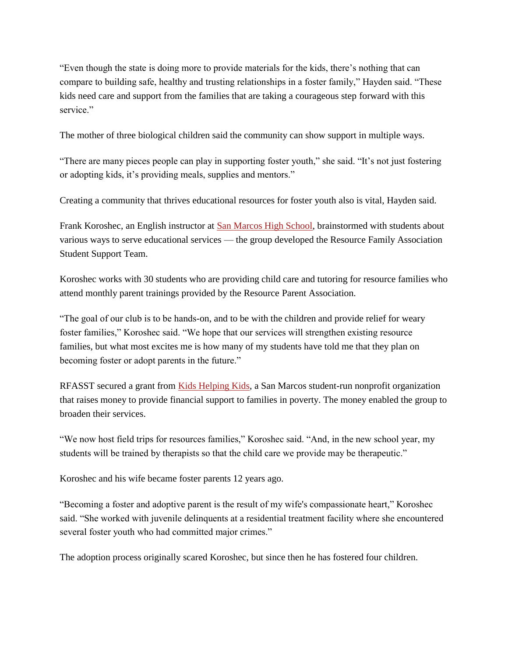"Even though the state is doing more to provide materials for the kids, there's nothing that can compare to building safe, healthy and trusting relationships in a foster family," Hayden said. "These kids need care and support from the families that are taking a courageous step forward with this service."

The mother of three biological children said the community can show support in multiple ways.

"There are many pieces people can play in supporting foster youth," she said. "It's not just fostering or adopting kids, it's providing meals, supplies and mentors."

Creating a community that thrives educational resources for foster youth also is vital, Hayden said.

Frank Koroshec, an English instructor at **San Marcos High School**, brainstormed with students about various ways to serve educational services — the group developed the Resource Family Association Student Support Team.

Koroshec works with 30 students who are providing child care and tutoring for resource families who attend monthly parent trainings provided by the Resource Parent Association.

"The goal of our club is to be hands-on, and to be with the children and provide relief for weary foster families," Koroshec said. "We hope that our services will strengthen existing resource families, but what most excites me is how many of my students have told me that they plan on becoming foster or adopt parents in the future."

RFASST secured a grant from [Kids Helping Kids,](http://kidshelpingkidssb.org/contact) a San Marcos student-run nonprofit organization that raises money to provide financial support to families in poverty. The money enabled the group to broaden their services.

"We now host field trips for resources families," Koroshec said. "And, in the new school year, my students will be trained by therapists so that the child care we provide may be therapeutic."

Koroshec and his wife became foster parents 12 years ago.

"Becoming a foster and adoptive parent is the result of my wife's compassionate heart," Koroshec said. "She worked with juvenile delinquents at a residential treatment facility where she encountered several foster youth who had committed major crimes."

The adoption process originally scared Koroshec, but since then he has fostered four children.